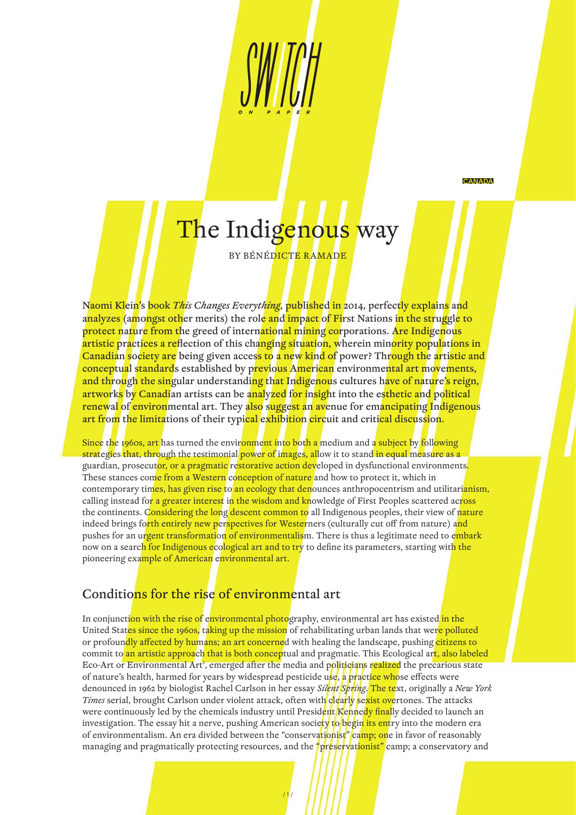**CANADA** 

# The Indigenous way

BY BÉNÉDICTE RAMADE

Naomi Klein's book *This Changes Everything*, published in 2014, perfectly explains and analyzes (amongst other merits) the role and impact of First Nations in the struggle to protect nature from the greed of international mining corporations. Are Indigenous artistic practices a reflection of this changing situation, wherein minority populations in Canadian society are being given access to a new kind of power? Through the artistic and conceptual standards established by previous American environmental art movements, and through the singular understanding that Indigenous cultures have of nature's reign, artworks by Canadian artists can be analyzed for insight into the esthetic and political renewal of environmental art. They also suggest an avenue for emancipating Indigenous art from the limitations of their typical exhibition circuit and critical discussion.

Since the 1960s, art has turned the environment into both a medium and a subject by following strategies that, through the testimonial power of images, allow it to stand in equal measure as a guardian, prosecutor, or a pragmatic restorative action developed in dysfunctional environments. These stances come from a Western conception of nature and how to protect it, which in contemporary times, has given rise to an ecology that denounces anthropocentrism and utilitarianism, calling instead for a greater interest in the wisdom and knowledge of First Peoples scattered across the continents. Considering the long descent common to all Indigenous peoples, their view of nature indeed brings forth entirely new perspectives for Westerners (culturally cut off from nature) and pushes for an urgent transformation of environmentalism. There is thus a legitimate need to embark now on a searc<mark>h for Indigenous ecological art and to try</mark> to define its parameters, starting wit<mark>h the</mark> pioneering example of American environmental art.

## Conditions for the rise of environmental art

In conjunction with the rise of environmental photography, environmental art has existed in the United States since the 1960s, taking up the mission of rehabilitating urban lands that were polluted or profoundly affected by humans; an art concerned with healing the landscape, pushing citizens to commit to an artistic approach that is both conceptual and pragmatic. This Ecological art, also labeled Eco-Art or Environmental Art<sup>1</sup>, emerged after the media and politicians realized the precarious state of nature's health, harmed for years by widespread pesticide use, a practice whose effects were denounced in 1962 by biologist Rachel Carlson in her essay *Silent Spring*. The text, originally a *New York Times* serial, brought Carlson under violent attack, often with clearly sexist overtones. The attacks were continuously led by the chemicals industry until President Kennedy finally decided to launch an investigation. The essay hit a nerve, pushing American society to begin its entry into the modern era of environmentalism. An era divided between the "conservationist" camp; one in favor of reasonably managing and pragmatically protecting resources, and the "preservationist" camp; a conservatory and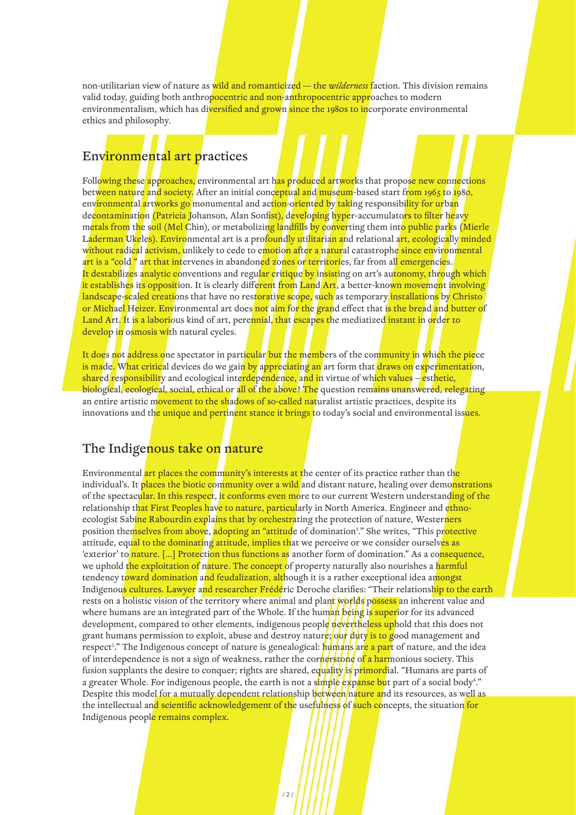non-utilitarian view of nature as wild and romanticized — the *wilderness* faction. This division remains valid today, guiding both anthropocentric and non-anthropocentric approaches to modern environmentalism, which has diversified and grown since the 1980s to incorporate environmental ethics and philosophy.

### Environmental art practices

Following these approaches, environmental art has produced artworks that propose new connections between nature and society. After an initial conceptual and museum-based start from 1965 to 1980, environmental artworks go monumental and action-oriented by taking responsibility for urban decontamination (Patricia Johanson, Alan Sonfist), developing hyper-accumulators to filter heavy metals from the soil (Mel Chin), or metabolizing landfills by converting them into public parks (Mierle L<mark>aderman Ukeles). Enviro</mark>nmental art is a pro<mark>foundly utilitarian a</mark>nd relational art, ecologically minded without radical activism, unlikely to cede to emotion after a natural catastrophe since environmental art is a "cold " art that intervenes in abandoned zones or territories, far from all emergencies. It destabilizes analytic conventions and regular critique by insisting on art's autonomy, through which it establishes its opposition. It is clearly different from Land Art, a better-known movement involving landscape-scaled creations that have no restorative scope, such as temporary installations by Christo or Michael Heizer. Environmental art does not aim for the grand effect that is the bread and butter of Land Art. It is a laborious kind of art, perennial, that escapes the mediatized instant in order to develop in osmosis with natural cycles.

It does not address one spectator in particular but the members of the community in which the piece is made. What critical devices do we gain by appreciating an art form that draws on experimentation, shared responsibility and ecological interdependence, and in virtue of which values – esthetic, biological, ecological, social, ethical or all of the above? The question remains unanswered, relegating an entire artistic movement to the shadows of so-called naturalist artistic practices, despite its innovations and the unique and pertinent stance it brings to today's social and environmental issues.

#### The Indigenous take on nature

Environmental <mark>art places the community's interests at t</mark>he center of its practice rather than th<mark>e</mark> individual's. It places the biotic community over a wild and distant nature, healing over demonstrations of the spectacular. In this respect, it conforms even more to our current Western understanding of the relationship that First Peoples have to nature, particularly in North America. Engineer and ethnoecologist Sabine Rabourdin explains that by orchestrating the protection of nature, Westerners position themselves from above, adopting an "attitude of domination<sup>2</sup>." She writes, "This protective attitude, equal to the dominating attitude, implies that we perceive or we consider ourselves as 'exterior' to nature. [...] Protection thus functions as another form of domination." As a consequence, we uphold the exploitation of nature. The concept of property naturally also nourishes a harmful tendency toward domination and feudalization, although it is a rather exceptional idea amongst Indigenous cultures. Lawyer and researcher Frédéric Deroche clarifies: "Their relationship to the earth rests on a holistic vision of the territory where animal and plant worlds possess an inherent value and where humans are an integrated part of the Whole. If the human being is superior for its advanced development, compared to other elements, indigenous people nevertheless uphold that this does not grant humans permission to exploit, abuse and destroy nature; our duty is to good management and respect<sup>3</sup>." The Indigenous concept of nature is genealogical: <mark>humans are a par</mark>t of nature, and the idea of interdependence is not a sign of weakness, rather the cornerstone of a harmonious society. This fusion supplants the desire to conquer; rights are shared, equality is primordial. "Humans are parts of a greater Whole. For indigenous people, the earth is not a s<mark>imple expanse bu</mark>t part of a social body<sup>4</sup>." Despite this model for a mutually dependent relationship between nature and its resources, as well as the intellectual and scientific acknowledgement of the usefulness of such concepts, the situation for Indigenous people remains complex.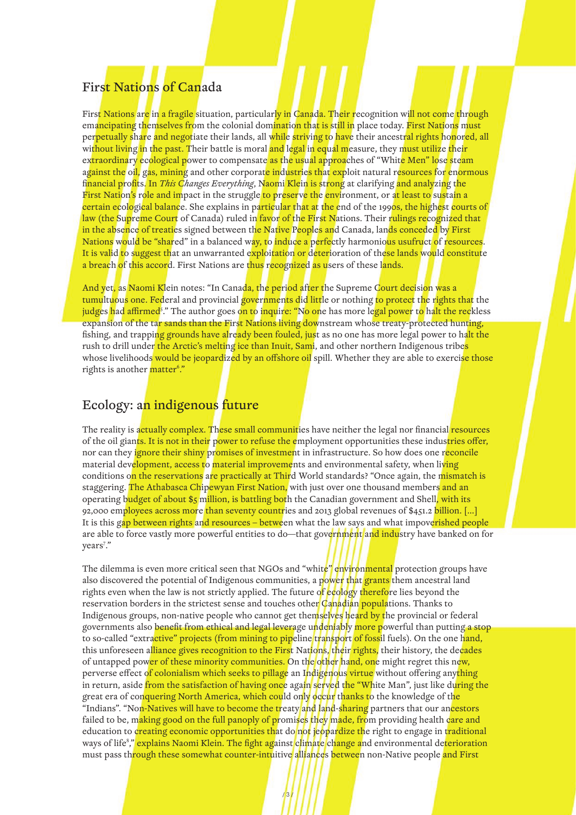## First Nations of Canada

First Nations are in a fragile situation, particularly in Canada. Their recognition will not come through emancipating themselves from the colonial domination that is still in place today. First Nations must perpetually share and negotiate their lands, all while striving to have their ancestral rights honored, all without living in the past. Their battle is moral and legal in equal measure, they must utilize their extraordinary ecological power to compensate as the usual approaches of "White Men" lose steam against the oil, gas, mining and other corporate industries that exploit natural resources for enormous financial profits. In *This Changes Everything*, Naomi Klein is strong at clarifying and analyzing the First Nation's role and impact in the struggle to preserve the environment, or at least to sustain a certain ecological balance. She explains in particular that at the end of the 1990s, the highest courts of law (the Supreme Court of Canada) ruled in favor of the First Nations. Their rulings recognized that in the absence of treaties signed between the Native Peoples and Canada, lands conceded by First Nations would be "shared" in a balanced way, to induce a perfectly harmonious usufruct of resources. It is valid to suggest that an unwarranted exploitation or deterioration of these lands would constitute a breach of this accord. First Nations are thus recognized as users of these lands.

And yet, as Naomi Klein notes: "In Canada, the period after the Supreme Court decision was a tumultuous one. Federal and provincial governments did little or nothing to protect the rights that the judges had affirmed§." The author goes <mark>on to inquire: "No on</mark>e has more le<mark>gal power to halt the rec</mark>kless expansion of the tar sands than the First Nations living downstream whose treaty-protected hunting, fishing, and trapping grounds have already been fouled, just as no one has more legal power to halt the rush to drill under the Arctic's melting ice than Inuit, Sami, and other northern Indigenous tribes whose livelihoods would be jeopardized by an offshore oil spill. Whether they are able to exercise those rights is another <mark>matter<sup>6</sup>."</mark>

## Ecology: an indigenous future

The reality is actually complex. These small communities have neither the legal nor financial resources of the oil giants. It is not in their power to refuse the employment opportunities these industries offer, nor can they ignore their shiny promises of investment in infrastructure. So how does one reconcile material development, access to material improvements and environmental safety, when living conditions on the reservations are practically at Third World standards? "Once again, the mismatch is staggering. The Athabasca Chipewyan First Nation, with just over one thousand members and an operating budget of about \$5 million, is battling both the Canadian government and Shell, with its 92,000 employees across more than seventy countries and 2013 global revenues of \$451.2 billion. [...] It is this gap between rights and resources – between what the law says and what impoverished people are able to force vastly more powerful entities to do—that government and industry have banked on for years<sup>7</sup>."

The dilemma is even more critical seen that NGOs and "white" environmental protection groups have also discovered the potential of Indigenous communities, a power that grants them ancestral land rights even when the law is not strictly applied. The future of ecology therefore lies beyond the reservation borders in the strictest sense and touches other Canadian populations. Thanks to Indigenous groups, non-native people who cannot get themselves heard by the provincial or federal governments also benefit from ethical and legal leverage undeniably more powerful than putting a stop to so-called "extractive" projects (from mining to pipeline transport of fossil fuels). On the one hand, this unforeseen alliance gives recognition to the First Nations, their rights, their history, the decades of untapped power of these minority communities. On the other hand, one might regret this new, perverse effect of colonialism which seeks to pillage an Indigenous virtue without offering anything in return, aside from the satisfaction of having once again served the "White Man", just like during the great era of conquering North America, which could only occur thanks to the knowledge of the "Indians". "Non-Natives will have to become the treaty and land-sharing partners that our ancestors failed to be, making good on the full panoply of promises they made, from providing health care and education to creating economic opportunities that do not jeopardize the right to engage in traditional ways of life<sup>8</sup>," <mark>explains Naomi Klein. The fight ag</mark>ainst climate change and environmental de<mark>terioration</mark> must pass through these somewhat counter-intuitive alliances between non-Native people and First

/ 3 /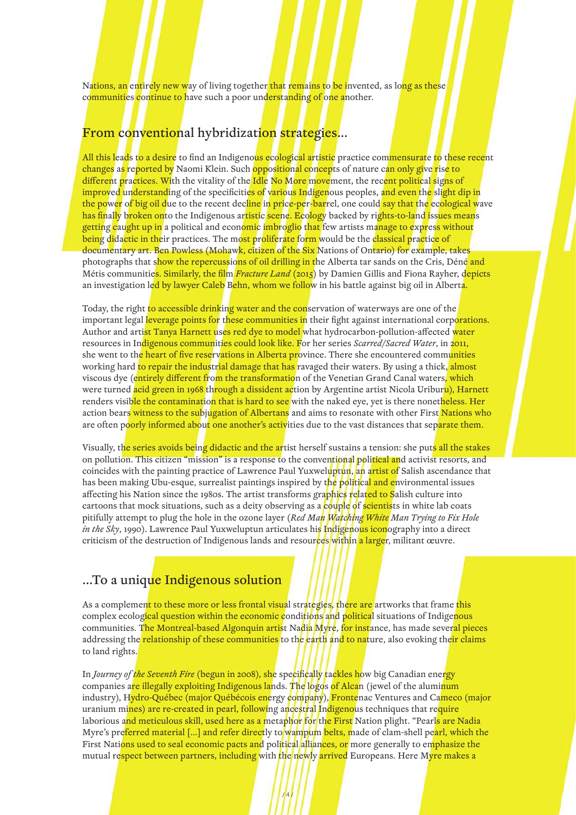Nations, an entirely new way of living together that remains to be invented, as long as these communities continue to have such a poor understanding of one another.

## From conventional hybridization strategies…

All this leads to a desire to find an Indigenous ecological artistic practice commensurate to these recent changes as reported by Naomi Klein. Such oppositional concepts of nature can only give rise to different practices. With the vitality of the Idle No More movement, the recent political signs of improved understanding of the specificities of various Indigenous peoples, and even the slight dip in the power of big oil due to the recent decline in price-per-barrel, one could say that the ecological wave has finally broken onto the Indigenous artistic scene. Ecology backed by rights-to-land issues means getting caught up in a political and economic imbroglio that few artists manage to express without being didactic in their practices. The most proliferate form would be the classical practice of documentary art. Ben Powless (Mohawk, citizen of the Six Nations of Ontario) for example, takes photographs that show the repercussions of oil drilling in the Alberta tar sands on the Cris, Déné and Métis communities. Similarly, the film *Fracture Land* (2015) by Damien Gillis and Fiona Rayher, depicts an investigation led by lawyer Caleb Behn, whom we follow in his battle against big oil in Alberta.

Today, the right to accessible drinking water and the conservation of waterways are one of the important legal leverage points for these communities in their fight against international corporations. Author and artist Tanya Harnett uses red dye to model what hydrocarbon-pollution-affected water resources in Indigenous communities could look like. For her series *Scarred/Sacred Water*, in 2011, she went to the heart of five reservations in Alberta province. There she encountered communities working hard <mark>to repair the industrial damage that has</mark> ravaged their waters. By using a thick, almost viscous dye (entirely different from the transformation of the Venetian Grand Canal waters, which were turned acid green in 1968 through a dissident action by Argentine artist Nicola Uriburu), Harnett renders visible the contamination that is hard to see with the naked eye, yet is there nonetheless. Her action bears witness to the subjugation of Albertans and aims to resonate with other First Nations who are often poorly informed about one another's activities due to the vast distances that separate them.

Visually, the series avoids being didactic and the artist herself sustains a tension: she puts all the stakes on pollution. This citizen "mission" is a response to the conventional political and activist resorts, and coincides with the painting practice of Lawrence Paul Yuxweluptun, an artist of Salish ascendance that has been making Ubu-esque, surrealist paintings inspired by the political and environmental issues affecting his Nation since the 1980s. The artist transforms graphics related to Salish culture into cartoons that mock situations, such as a deity observing as a couple of scientists in white lab coats pitifully attempt to plug the hole in the ozone layer (*Red Man Watching White Man Trying to Fix Hole in the Sky*, 1990). Lawrence Paul Yuxweluptun articulates his **Indigenous iconography** into a direct criticism of the destruction of Indigenous lands and resources within a larger, militant œuvre.

## …To a unique Indigenous solution

As a complement to these more or less frontal visual strategies, there are artworks that frame this complex ecological question within the economic conditions and political situations of Indigenous communities. The Montreal-based Algonquin artist Nadia Myre, for instance, has made sever<mark>al pieces</mark> addressing the relationship of these communities to the earth and to nature, also evoking their claims to land rights.

In *Journey of the Seventh Fire* (begun in 2008), she specifically tackles how big Canadian energy companies are illegally exploiting Indigenous lands. The logos of Alcan (jewel of the aluminum industry), Hydro-Québec (major Québécois energy company), Frontenac Ventures and Cameco (major uranium mines) are re-created in pearl, following ancestral Indigenous techniques that require laborious and meticulous skill, used here as a metaphor for the First Nation plight. "Pearls are Nadia Myre's preferred material [...] and refer directly to wampum belts, made of clam-shell pearl, which the First Nations used to seal economic pacts and political alliances, or more generally to emphasize the mutual re<mark>spect between partners, including</mark> with the newly arrived Europeans. Here M<mark>yre makes a</mark>

 $/ 4 / 3$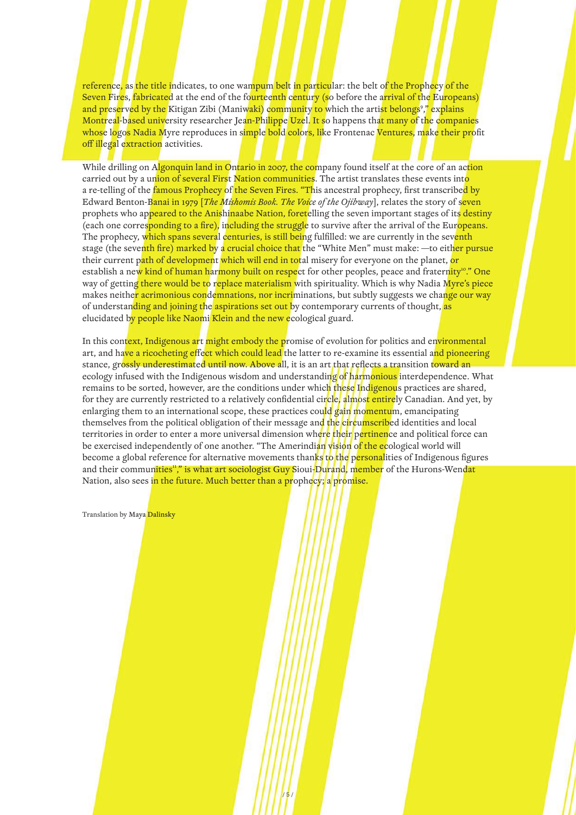reference, as the title indicates, to one wampum belt in particular: the belt of the Prophecy of the Seven Fires, fabricated at the end of the fourteenth century (so before the arrival of the Europeans) and preserved by the Kitigan Zibi (Maniwaki) community to which the artist belongs<sup>9</sup>," explains Montreal-based university researcher Jean-Philippe Uzel. It so happens that many of the companies whose logos Nadia Myre reproduces in simple bold colors, like Frontenac Ventures, make their profit off illegal extraction activities.

While drilling on Algonquin land in Ontario in 2007, the company found itself at the core of an action carried out by a union of several First Nation communities. The artist translates these events into a re-telling of the famous Prophecy of the Seven Fires. "This ancestral prophecy, first transcribed by Edward Benton-Banai in 1979 [*The Mishomis Book. The Voice of the Ojibway*], relates the story of seven prophets who appeared to the Anishinaabe Nation, foretelling the seven important stages of its destiny (each one corresponding to a fire), including the struggle to survive after the arrival of the Europeans. The prophecy, which spans several centuries, is still being fulfilled: we are currently in the seventh stage (the seventh fire) marked by a crucial choice that the "White Men" must make: —to either pursue their current path of development which will end in total misery for everyone on the planet, or establish a new kind of human harmony built on respect for other peoples, peace and fraternity<sup>10</sup>." One way of getting there would be to replace materialism with spirituality. Which is why Nadia Myre's piece makes neither acrimonious condemnations, nor incriminations, but subtly suggests we change our way of understanding and joining the aspirations set out by contemporary currents of thought, as elucidated by people like Naomi Klein and the new ecological guard.

In this context, Indigenous art might embody the promise of evolution for politics and environmental art, and have a ricocheting effect which could lead the latter to re-examine its essential and pioneering stance, grossly underestimated until now. Above all, it is an art that reflects a transition toward an ecology infused with the Indigenous wisdom and understanding of harmonious interdependence. What remains to be sorted, however, are the conditions under which these Indigenous practices are shared, for they are currently restricted to a relatively confidential ci<mark>rcle, almost entire</mark>ly Canadian. And yet, by enlarging them to an international scope, these practices could gain momentum, emancipating themselves from the political obligation of their message and the circumscribed identities and local territories in order to enter a more universal dimension where their pertinence and political force can be exercised independently of one another. "The Amerindian vision of the ecological world will become a global reference for alternative movements thanks to the personalities of Indigenous figures and their communities<sup>11</sup>," is what art sociologist Guy Sioui-Durand, member of the Hurons-Wendat Nation, also sees in the future. Much better than a prophecy; a promise.

Translation by Maya Dalinsky